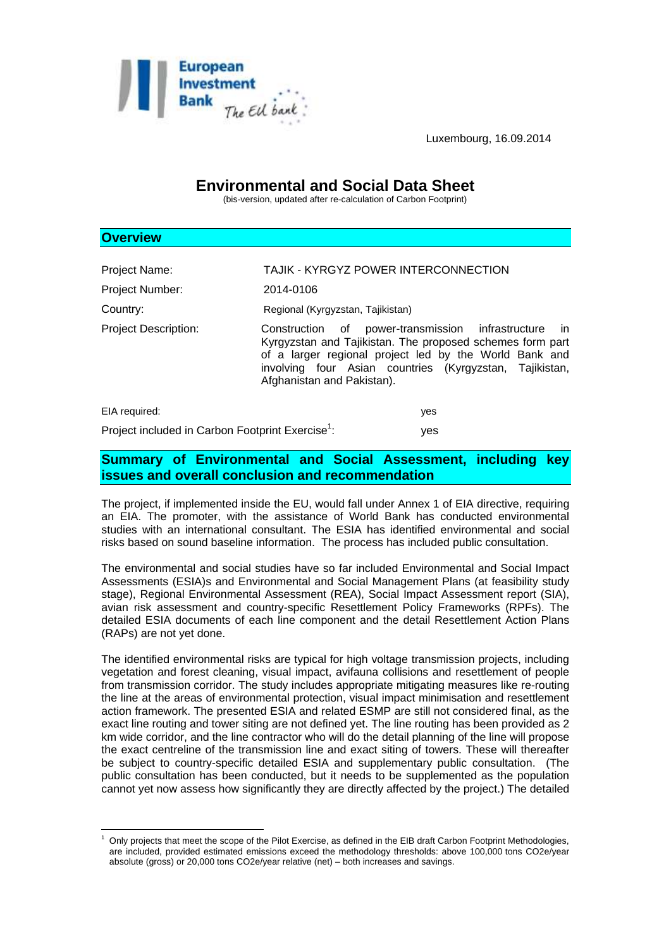

Luxembourg, 16.09.2014

# **Environmental and Social Data Sheet**

(bis-version, updated after re-calculation of Carbon Footprint)

| <b>Overview</b>                                              |                                                                                                                                                                                                                                                                          |
|--------------------------------------------------------------|--------------------------------------------------------------------------------------------------------------------------------------------------------------------------------------------------------------------------------------------------------------------------|
| <b>Project Name:</b>                                         | TAJIK - KYRGYZ POWER INTERCONNECTION                                                                                                                                                                                                                                     |
| <b>Project Number:</b>                                       | 2014-0106                                                                                                                                                                                                                                                                |
| Country:                                                     | Regional (Kyrgyzstan, Tajikistan)                                                                                                                                                                                                                                        |
| <b>Project Description:</b>                                  | Construction of power-transmission infrastructure<br>in.<br>Kyrgyzstan and Tajikistan. The proposed schemes form part<br>of a larger regional project led by the World Bank and<br>involving four Asian countries (Kyrgyzstan, Tajikistan,<br>Afghanistan and Pakistan). |
| EIA required:                                                | yes                                                                                                                                                                                                                                                                      |
| Project included in Carbon Footprint Exercise <sup>1</sup> : | ves                                                                                                                                                                                                                                                                      |

## **Summary of Environmental and Social Assessment, including key issues and overall conclusion and recommendation**

The project, if implemented inside the EU, would fall under Annex 1 of EIA directive, requiring an EIA. The promoter, with the assistance of World Bank has conducted environmental studies with an international consultant. The ESIA has identified environmental and social risks based on sound baseline information. The process has included public consultation.

The environmental and social studies have so far included Environmental and Social Impact Assessments (ESIA)s and Environmental and Social Management Plans (at feasibility study stage), Regional Environmental Assessment (REA), Social Impact Assessment report (SIA), avian risk assessment and country-specific Resettlement Policy Frameworks (RPFs). The detailed ESIA documents of each line component and the detail Resettlement Action Plans (RAPs) are not yet done.

The identified environmental risks are typical for high voltage transmission projects, including vegetation and forest cleaning, visual impact, avifauna collisions and resettlement of people from transmission corridor. The study includes appropriate mitigating measures like re-routing the line at the areas of environmental protection, visual impact minimisation and resettlement action framework. The presented ESIA and related ESMP are still not considered final, as the exact line routing and tower siting are not defined yet. The line routing has been provided as 2 km wide corridor, and the line contractor who will do the detail planning of the line will propose the exact centreline of the transmission line and exact siting of towers. These will thereafter be subject to country-specific detailed ESIA and supplementary public consultation. (The public consultation has been conducted, but it needs to be supplemented as the population cannot yet now assess how significantly they are directly affected by the project.) The detailed

<sup>1</sup> Only projects that meet the scope of the Pilot Exercise, as defined in the EIB draft Carbon Footprint Methodologies, are included, provided estimated emissions exceed the methodology thresholds: above 100,000 tons CO2e/year absolute (gross) or 20,000 tons CO2e/year relative (net) – both increases and savings.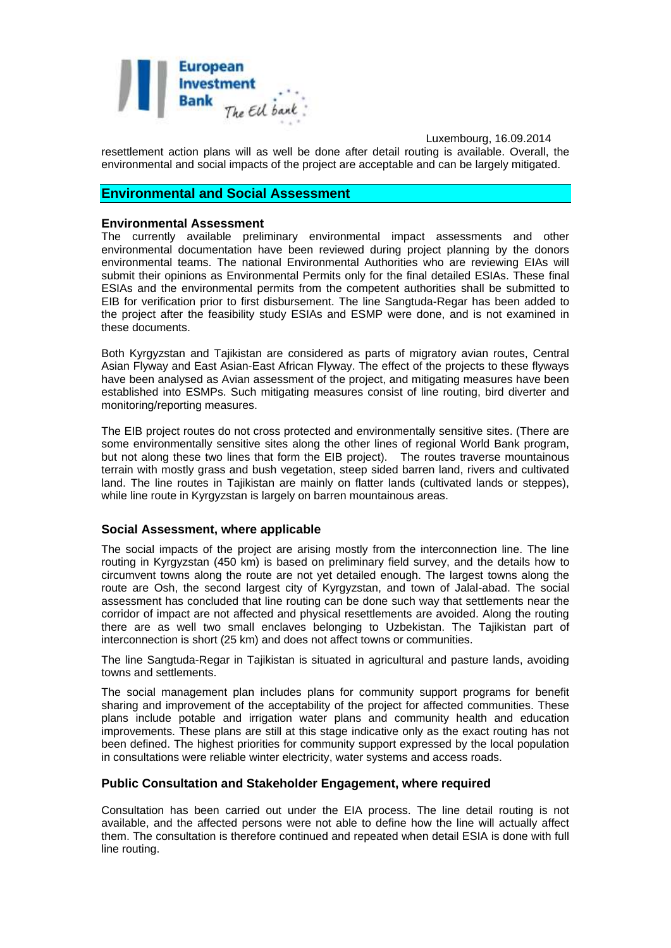

Luxembourg, 16.09.2014 resettlement action plans will as well be done after detail routing is available. Overall, the environmental and social impacts of the project are acceptable and can be largely mitigated.

## **Environmental and Social Assessment**

#### **Environmental Assessment**

The currently available preliminary environmental impact assessments and other environmental documentation have been reviewed during project planning by the donors environmental teams. The national Environmental Authorities who are reviewing EIAs will submit their opinions as Environmental Permits only for the final detailed ESIAs. These final ESIAs and the environmental permits from the competent authorities shall be submitted to EIB for verification prior to first disbursement. The line Sangtuda-Regar has been added to the project after the feasibility study ESIAs and ESMP were done, and is not examined in these documents.

Both Kyrgyzstan and Tajikistan are considered as parts of migratory avian routes, Central Asian Flyway and East Asian-East African Flyway. The effect of the projects to these flyways have been analysed as Avian assessment of the project, and mitigating measures have been established into ESMPs. Such mitigating measures consist of line routing, bird diverter and monitoring/reporting measures.

The EIB project routes do not cross protected and environmentally sensitive sites. (There are some environmentally sensitive sites along the other lines of regional World Bank program, but not along these two lines that form the EIB project). The routes traverse mountainous terrain with mostly grass and bush vegetation, steep sided barren land, rivers and cultivated land. The line routes in Tajikistan are mainly on flatter lands (cultivated lands or steppes), while line route in Kyrgyzstan is largely on barren mountainous areas.

### **Social Assessment, where applicable**

The social impacts of the project are arising mostly from the interconnection line. The line routing in Kyrgyzstan (450 km) is based on preliminary field survey, and the details how to circumvent towns along the route are not yet detailed enough. The largest towns along the route are Osh, the second largest city of Kyrgyzstan, and town of Jalal-abad. The social assessment has concluded that line routing can be done such way that settlements near the corridor of impact are not affected and physical resettlements are avoided. Along the routing there are as well two small enclaves belonging to Uzbekistan. The Tajikistan part of interconnection is short (25 km) and does not affect towns or communities.

The line Sangtuda-Regar in Tajikistan is situated in agricultural and pasture lands, avoiding towns and settlements.

The social management plan includes plans for community support programs for benefit sharing and improvement of the acceptability of the project for affected communities. These plans include potable and irrigation water plans and community health and education improvements. These plans are still at this stage indicative only as the exact routing has not been defined. The highest priorities for community support expressed by the local population in consultations were reliable winter electricity, water systems and access roads.

### **Public Consultation and Stakeholder Engagement, where required**

Consultation has been carried out under the EIA process. The line detail routing is not available, and the affected persons were not able to define how the line will actually affect them. The consultation is therefore continued and repeated when detail ESIA is done with full line routing.